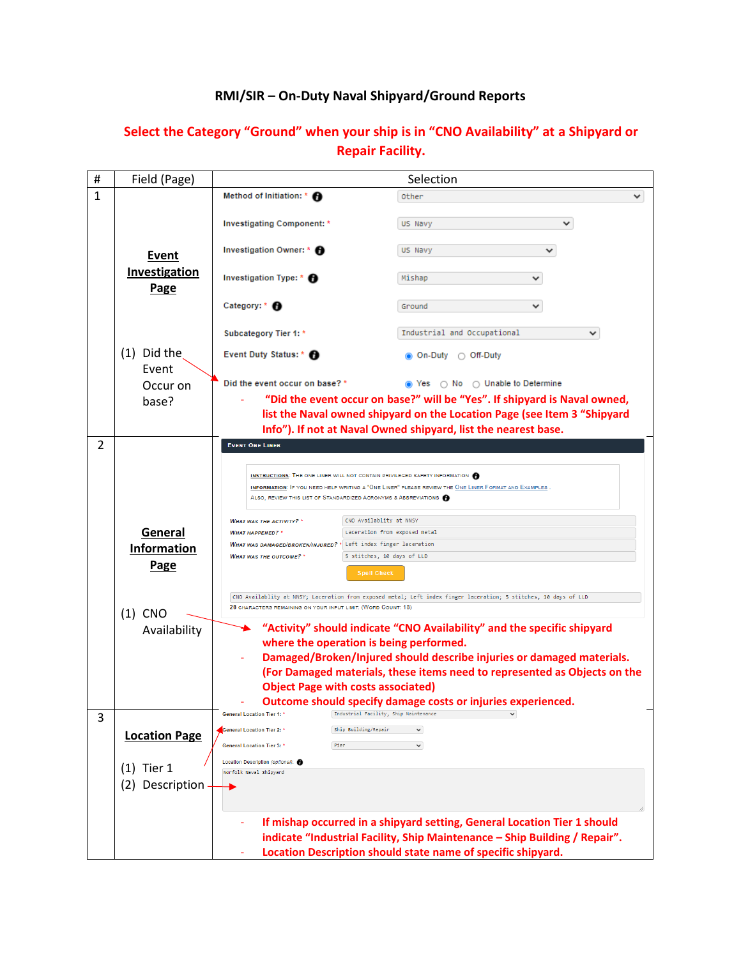| #                                                                 | Field (Page)                                                                                                                                           | Selection                                                                                                                                                                                                                                                   |                                                                                                       |  |  |  |
|-------------------------------------------------------------------|--------------------------------------------------------------------------------------------------------------------------------------------------------|-------------------------------------------------------------------------------------------------------------------------------------------------------------------------------------------------------------------------------------------------------------|-------------------------------------------------------------------------------------------------------|--|--|--|
| 1                                                                 |                                                                                                                                                        | Method of Initiation: * A                                                                                                                                                                                                                                   | Other                                                                                                 |  |  |  |
|                                                                   | Event<br>Investigation<br>Page                                                                                                                         | Investigating Component: *                                                                                                                                                                                                                                  | US Navy                                                                                               |  |  |  |
|                                                                   |                                                                                                                                                        | Investigation Owner: * <sup>6</sup>                                                                                                                                                                                                                         | US Navy                                                                                               |  |  |  |
|                                                                   |                                                                                                                                                        | Investigation Type: * <sup>1</sup>                                                                                                                                                                                                                          | Mishap                                                                                                |  |  |  |
|                                                                   |                                                                                                                                                        | Category: * <sup>6</sup>                                                                                                                                                                                                                                    | v<br>Ground                                                                                           |  |  |  |
|                                                                   |                                                                                                                                                        | Subcategory Tier 1: *                                                                                                                                                                                                                                       | Industrial and Occupational                                                                           |  |  |  |
|                                                                   | $(1)$ Did the<br>Event<br>Occur on<br>base?                                                                                                            | Event Duty Status: * <sup>1</sup>                                                                                                                                                                                                                           | <b>.</b> On-Duty ○ Off-Duty                                                                           |  |  |  |
|                                                                   |                                                                                                                                                        | Did the event occur on base? *<br>⊙ Yes  ○ No ○ Unable to Determine                                                                                                                                                                                         |                                                                                                       |  |  |  |
|                                                                   |                                                                                                                                                        | "Did the event occur on base?" will be "Yes". If shipyard is Naval owned,                                                                                                                                                                                   |                                                                                                       |  |  |  |
|                                                                   | list the Naval owned shipyard on the Location Page (see Item 3 "Shipyard                                                                               |                                                                                                                                                                                                                                                             |                                                                                                       |  |  |  |
|                                                                   |                                                                                                                                                        |                                                                                                                                                                                                                                                             | Info"). If not at Naval Owned shipyard, list the nearest base.                                        |  |  |  |
| 2                                                                 |                                                                                                                                                        | <b>EVENT ONE LINER</b>                                                                                                                                                                                                                                      |                                                                                                       |  |  |  |
|                                                                   | General<br><b>Information</b><br>Page<br>$(1)$ CNO                                                                                                     | <b>INSTRUCTIONS:</b> THE ONE LINER WILL NOT CONTAIN PRIVILEGED SAFETY INFORMATION<br>INFORMATION: IF YOU NEED HELP WRITING A "ONE LINER" PLEASE REVIEW THE ONE LINER FORMAT AND EXAMPLES<br>ALSO, REVIEW THIS LIST OF STANDARDIZED ACRONYMS & ABBREVIATIONS |                                                                                                       |  |  |  |
|                                                                   |                                                                                                                                                        | CNO Availablity at NNSY<br><b>WHAT WAS THE ACTIVITY?</b> *                                                                                                                                                                                                  |                                                                                                       |  |  |  |
|                                                                   |                                                                                                                                                        | <b><i>WHAT HAPPENED?</i></b><br>WHAT WAS DAMAGED/BROKEN/INJURED? * Left index finger laceration<br><b>WHAT WAS THE OUTCOME?</b> *                                                                                                                           | Laceration from exposed metal                                                                         |  |  |  |
|                                                                   |                                                                                                                                                        |                                                                                                                                                                                                                                                             |                                                                                                       |  |  |  |
|                                                                   |                                                                                                                                                        |                                                                                                                                                                                                                                                             | 5 stitches, 10 days of LLD<br><b>Spell Check</b>                                                      |  |  |  |
|                                                                   |                                                                                                                                                        | CNO Availablity at NNSY; Laceration from exposed metal; Left index finger laceration; 5 stitches, 10 days of LLD<br>28 CHARACTERS REMAINING ON YOUR INPUT LIMIT. (WORD COUNT: 18)                                                                           |                                                                                                       |  |  |  |
|                                                                   | "Activity" should indicate "CNO Availability" and the specific shipyard<br>Availability                                                                |                                                                                                                                                                                                                                                             |                                                                                                       |  |  |  |
|                                                                   |                                                                                                                                                        |                                                                                                                                                                                                                                                             | where the operation is being performed.                                                               |  |  |  |
|                                                                   |                                                                                                                                                        |                                                                                                                                                                                                                                                             | Damaged/Broken/Injured should describe injuries or damaged materials.                                 |  |  |  |
|                                                                   |                                                                                                                                                        | (For Damaged materials, these items need to represented as Objects on the<br><b>Object Page with costs associated)</b>                                                                                                                                      |                                                                                                       |  |  |  |
|                                                                   |                                                                                                                                                        |                                                                                                                                                                                                                                                             |                                                                                                       |  |  |  |
|                                                                   |                                                                                                                                                        | <b>General Location Tier 1:</b>                                                                                                                                                                                                                             | Outcome should specify damage costs or injuries experienced.<br>Industrial Facility, Ship Maintenance |  |  |  |
| 3                                                                 |                                                                                                                                                        | General Location Tier 2: '                                                                                                                                                                                                                                  | Ship Building/Repair<br>$\checkmark$                                                                  |  |  |  |
| <b>Location Page</b><br>Pier<br><b>General Location Tier 3: *</b> |                                                                                                                                                        |                                                                                                                                                                                                                                                             | v.                                                                                                    |  |  |  |
|                                                                   |                                                                                                                                                        | Location Description (optional): <sup>6</sup>                                                                                                                                                                                                               |                                                                                                       |  |  |  |
|                                                                   | Tier 1<br>(1)<br>Norfolk Naval Shipyard                                                                                                                |                                                                                                                                                                                                                                                             |                                                                                                       |  |  |  |
|                                                                   | (2) Description                                                                                                                                        |                                                                                                                                                                                                                                                             |                                                                                                       |  |  |  |
|                                                                   | If mishap occurred in a shipyard setting, General Location Tier 1 should<br>indicate "Industrial Facility, Ship Maintenance - Ship Building / Repair". |                                                                                                                                                                                                                                                             |                                                                                                       |  |  |  |
|                                                                   |                                                                                                                                                        | Location Description should state name of specific shipyard.                                                                                                                                                                                                |                                                                                                       |  |  |  |

## **Select the Category "Ground" when your ship is in "CNO Availability" at a Shipyard or Repair Facility.**